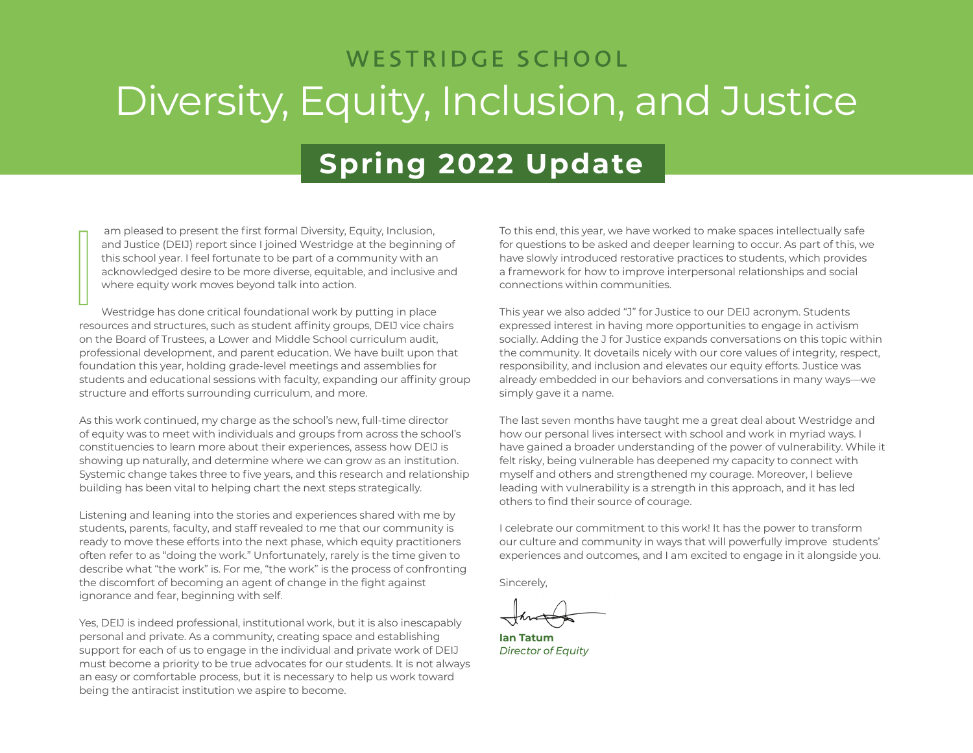### WESTRIDGE SCHOOL Diversity, Equity, Inclusion, and Justice

### **Spring 2022 Update**

am pleased to present the first formal Diversity, Equity, Inclusion, and Justice (DEIJ) report since I joined Westridge at the beginning of this school year. I feel fortunate to be part of a community with an acknowledged desire to be more diverse, equitable, and inclusive and where equity work moves beyond talk into action.

Westridge has done critical foundational work by putting in place resources and structures, such as student affinity groups, DEIJ vice chairs on the Board of Trustees, a Lower and Middle School curriculum audit, professional development, and parent education. We have built upon that foundation this year, holding grade-level meetings and assemblies for students and educational sessions with faculty, expanding our affinity group structure and efforts surrounding curriculum, and more. I

As this work continued, my charge as the school's new, full-time director of equity was to meet with individuals and groups from across the school's constituencies to learn more about their experiences, assess how DEIJ is showing up naturally, and determine where we can grow as an institution. Systemic change takes three to five years, and this research and relationship building has been vital to helping chart the next steps strategically.

Listening and leaning into the stories and experiences shared with me by students, parents, faculty, and staff revealed to me that our community is ready to move these efforts into the next phase, which equity practitioners often refer to as "doing the work." Unfortunately, rarely is the time given to describe what "the work" is. For me, "the work" is the process of confronting the discomfort of becoming an agent of change in the fight against ignorance and fear, beginning with self.

Yes, DEIJ is indeed professional, institutional work, but it is also inescapably personal and private. As a community, creating space and establishing support for each of us to engage in the individual and private work of DEIJ must become a priority to be true advocates for our students. It is not always an easy or comfortable process, but it is necessary to help us work toward being the antiracist institution we aspire to become.

To this end, this year, we have worked to make spaces intellectually safe for questions to be asked and deeper learning to occur. As part of this, we have slowly introduced restorative practices to students, which provides a framework for how to improve interpersonal relationships and social connections within communities.

This year we also added "J" for Justice to our DEIJ acronym. Students expressed interest in having more opportunities to engage in activism socially. Adding the J for Justice expands conversations on this topic within the community. It dovetails nicely with our core values of integrity, respect, responsibility, and inclusion and elevates our equity efforts. Justice was already embedded in our behaviors and conversations in many ways—we simply gave it a name.

The last seven months have taught me a great deal about Westridge and how our personal lives intersect with school and work in myriad ways. I have gained a broader understanding of the power of vulnerability. While it felt risky, being vulnerable has deepened my capacity to connect with myself and others and strengthened my courage. Moreover, I believe leading with vulnerability is a strength in this approach, and it has led others to find their source of courage.

I celebrate our commitment to this work! It has the power to transform our culture and community in ways that will powerfully improve students' experiences and outcomes, and I am excited to engage in it alongside you.

Sincerely,

**Ian Tatum** *Director of Equity*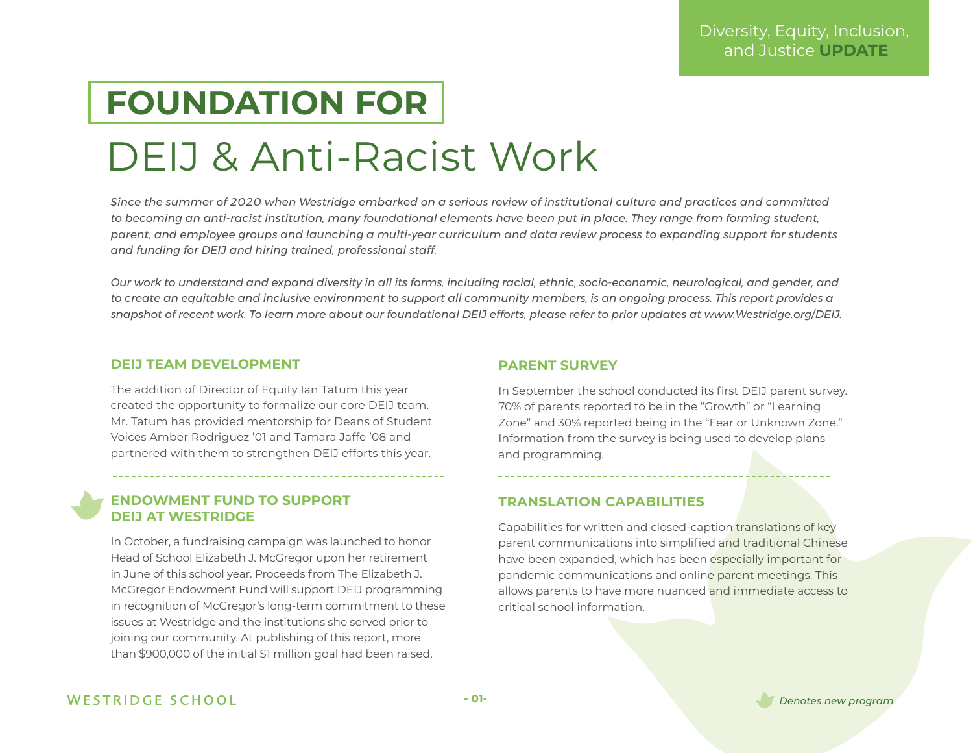### **FOUNDATION FOR**

## DEIJ & Anti-Racist Work

*Since the summer of 2020 when Westridge embarked on a serious review of institutional culture and practices and committed to becoming an anti-racist institution, many foundational elements have been put in place. They range from forming student, parent, and employee groups and launching a multi-year curriculum and data review process to expanding support for students and funding for DEIJ and hiring trained, professional staff.* 

*Our work to understand and expand diversity in all its forms, including racial, ethnic, socio-economic, neurological, and gender, and to create an equitable and inclusive environment to support all community members, is an ongoing process. This report provides a snapshot of recent work. To learn more about our foundational DEIJ efforts, please refer to prior updates at [www.Westridge.org/DEIJ.](http://www.Westridge.org/DEIJ)* 

#### **DEIJ TEAM DEVELOPMENT**

The addition of Director of Equity Ian Tatum this year created the opportunity to formalize our core DEIJ team. Mr. Tatum has provided mentorship for Deans of Student Voices Amber Rodriguez '01 and Tamara Jaffe '08 and partnered with them to strengthen DEIJ efforts this year.

#### **ENDOWMENT FUND TO SUPPORT DEIJ AT WESTRIDGE**

In October, a fundraising campaign was launched to honor Head of School Elizabeth J. McGregor upon her retirement in June of this school year. Proceeds from The Elizabeth J. McGregor Endowment Fund will support DEIJ programming in recognition of McGregor's long-term commitment to these issues at Westridge and the institutions she served prior to joining our community. At publishing of this report, more than \$900,000 of the initial \$1 million goal had been raised.

#### **PARENT SURVEY**

In September the school conducted its first DEIJ parent survey. 70% of parents reported to be in the "Growth" or "Learning Zone" and 30% reported being in the "Fear or Unknown Zone." Information from the survey is being used to develop plans and programming.

#### **TRANSLATION CAPABILITIES**

Capabilities for written and closed-caption translations of key parent communications into simplified and traditional Chinese have been expanded, which has been especially important for pandemic communications and online parent meetings. This allows parents to have more nuanced and immediate access to critical school information.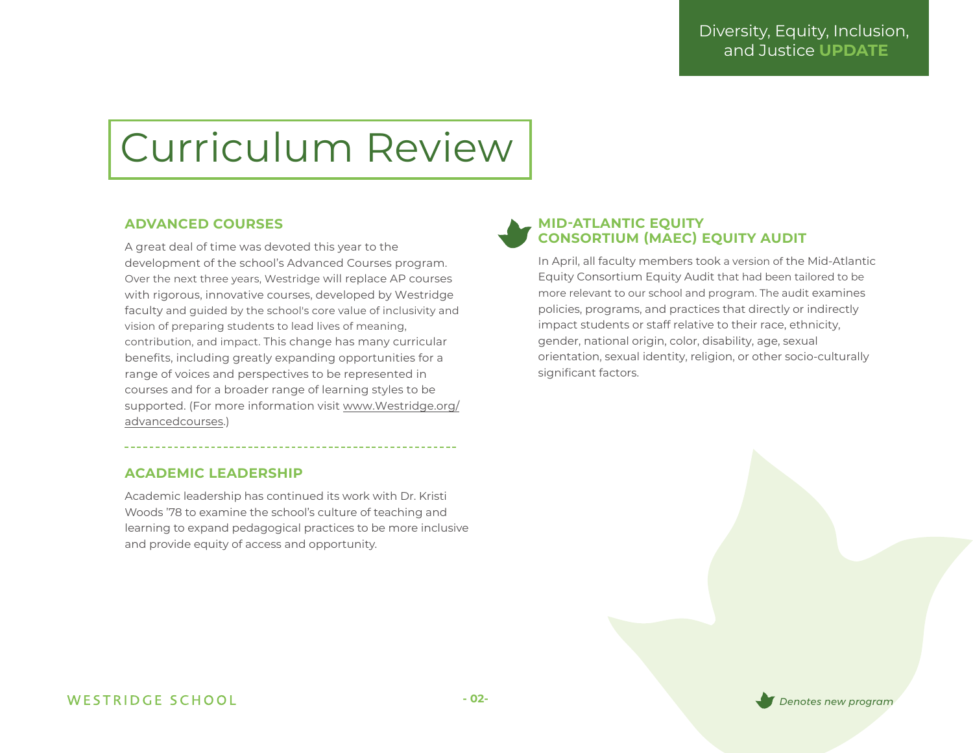## Curriculum Review

#### **ADVANCED COURSES**

A great deal of time was devoted this year to the development of the school's Advanced Courses program. Over the next three years, Westridge will replace AP courses with rigorous, innovative courses, developed by Westridge faculty and guided by the school's core value of inclusivity and vision of preparing students to lead lives of meaning, contribution, and impact. This change has many curricular benefits, including greatly expanding opportunities for a range of voices and perspectives to be represented in courses and for a broader range of learning styles to be [supported. \(For more information visit www.Westridge.org/](http://www.Westridge.org/advancedcourses) advancedcourses.)

#### **ACADEMIC LEADERSHIP**

Academic leadership has continued its work with Dr. Kristi Woods '78 to examine the school's culture of teaching and learning to expand pedagogical practices to be more inclusive and provide equity of access and opportunity.

#### **MID-ATLANTIC EQUITY CONSORTIUM (MAEC) EQUITY AUDIT**

In April, all faculty members took a version of the Mid-Atlantic Equity Consortium Equity Audit that had been tailored to be more relevant to our school and program. The audit examines policies, programs, and practices that directly or indirectly impact students or staff relative to their race, ethnicity, gender, national origin, color, disability, age, sexual orientation, sexual identity, religion, or other socio-culturally significant factors.

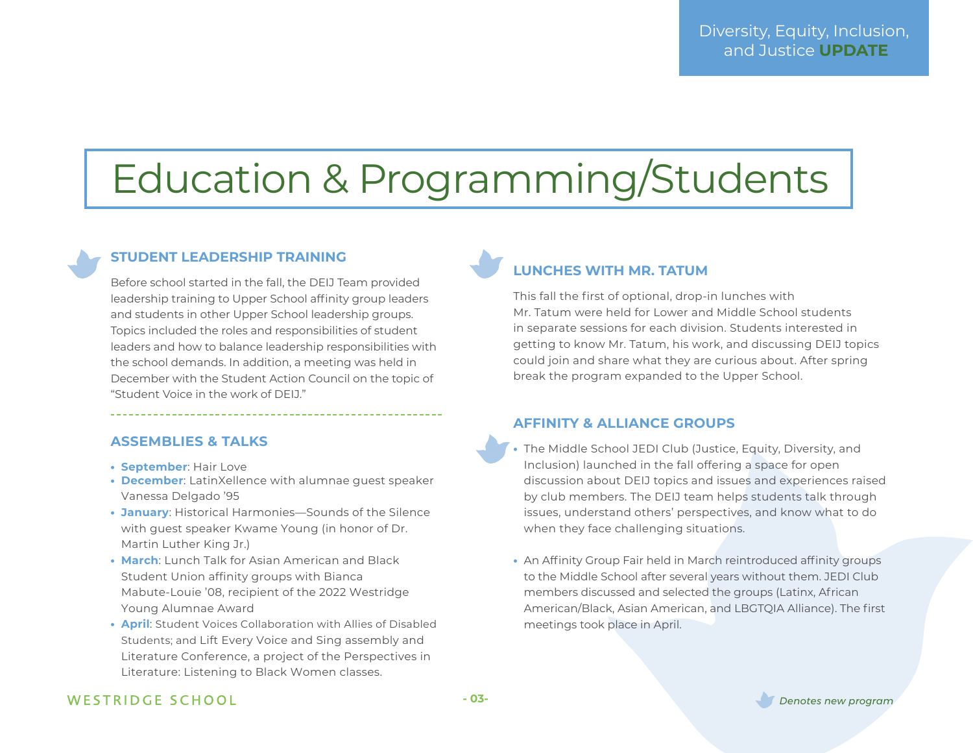## Education & Programming/Students

#### **STUDENT LEADERSHIP TRAINING**

Before school started in the fall, the DEIJ Team provided leadership training to Upper School affinity group leaders and students in other Upper School leadership groups. Topics included the roles and responsibilities of student leaders and how to balance leadership responsibilities with the school demands. In addition, a meeting was held in December with the Student Action Council on the topic of "Student Voice in the work of DEIJ."

#### **ASSEMBLIES & TALKS**

- **• September**: Hair Love
- **• December**: LatinXellence with alumnae guest speaker Vanessa Delgado '95
- **• January**: Historical Harmonies—Sounds of the Silence with guest speaker Kwame Young (in honor of Dr. Martin Luther King Jr.)
- **• March**: Lunch Talk for Asian American and Black Student Union affinity groups with Bianca Mabute-Louie '08, recipient of the 2022 Westridge Young Alumnae Award
- **• April**: Student Voices Collaboration with Allies of Disabled Students; and Lift Every Voice and Sing assembly and Literature Conference, a project of the Perspectives in Literature: Listening to Black Women classes.

### **LUNCHES WITH MR. TATUM**

This fall the first of optional, drop-in lunches with Mr. Tatum were held for Lower and Middle School students in separate sessions for each division. Students interested in getting to know Mr. Tatum, his work, and discussing DEIJ topics could join and share what they are curious about. After spring break the program expanded to the Upper School.

#### **AFFINITY & ALLIANCE GROUPS**

- **•** The Middle School JEDI Club (Justice, Equity, Diversity, and Inclusion) launched in the fall offering a space for open discussion about DEIJ topics and issues and experiences raised by club members. The DEIJ team helps students talk through issues, understand others' perspectives, and know what to do when they face challenging situations.
- **•** An Affinity Group Fair held in March reintroduced affinity groups to the Middle School after several years without them. JEDI Club members discussed and selected the groups (Latinx, African American/Black, Asian American, and LBGTQIA Alliance). The first meetings took place in April.

#### WESTRIDGE SCHOOL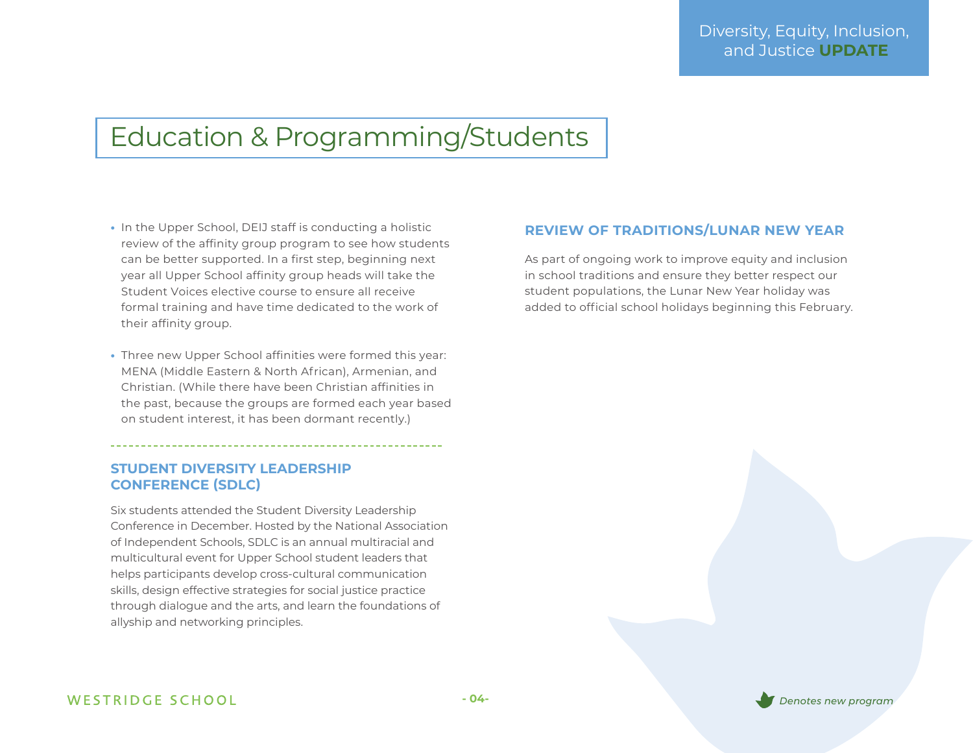### Education & Programming/Students

- **•** In the Upper School, DEIJ staff is conducting a holistic review of the affinity group program to see how students can be better supported. In a first step, beginning next year all Upper School affinity group heads will take the Student Voices elective course to ensure all receive formal training and have time dedicated to the work of their affinity group.
- **•** Three new Upper School affinities were formed this year: MENA (Middle Eastern & North African), Armenian, and Christian. (While there have been Christian affinities in the past, because the groups are formed each year based on student interest, it has been dormant recently.)

#### **STUDENT DIVERSITY LEADERSHIP CONFERENCE (SDLC)**

Six students attended the Student Diversity Leadership Conference in December. Hosted by the National Association of Independent Schools, SDLC is an annual multiracial and multicultural event for Upper School student leaders that helps participants develop cross-cultural communication skills, design effective strategies for social justice practice through dialogue and the arts, and learn the foundations of allyship and networking principles.

#### **REVIEW OF TRADITIONS/LUNAR NEW YEAR**

As part of ongoing work to improve equity and inclusion in school traditions and ensure they better respect our student populations, the Lunar New Year holiday was added to official school holidays beginning this February.

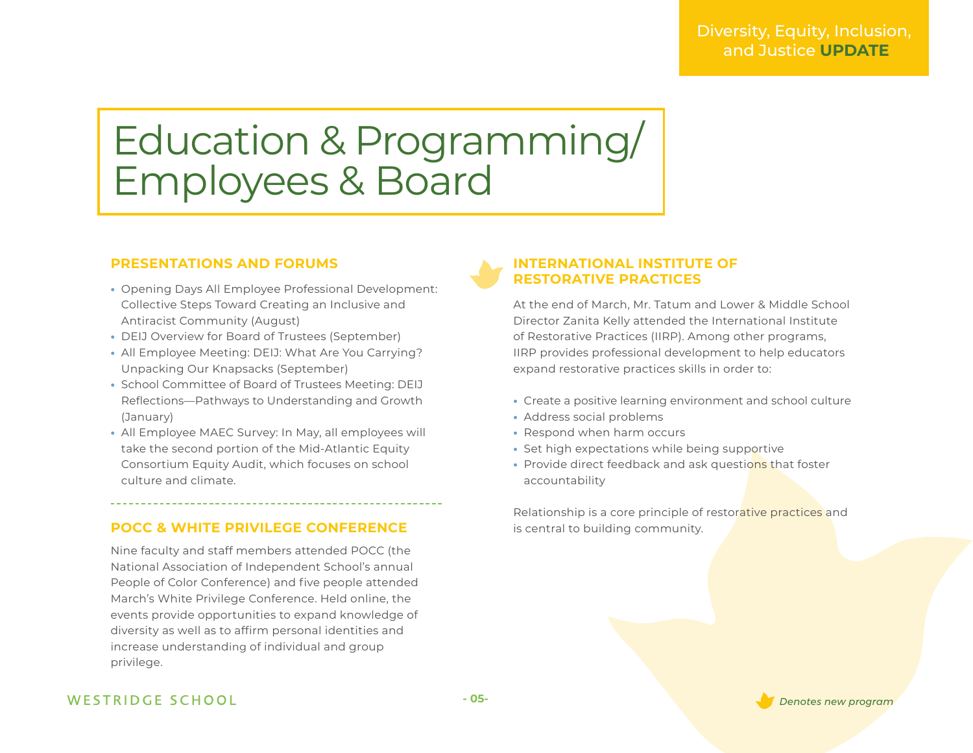## Education & Programming/ Employees & Board

#### **PRESENTATIONS AND FORUMS**

- **•** Opening Days All Employee Professional Development: Collective Steps Toward Creating an Inclusive and Antiracist Community (August)
- **•** DEIJ Overview for Board of Trustees (September)
- **•** All Employee Meeting: DEIJ: What Are You Carrying? Unpacking Our Knapsacks (September)
- **•** School Committee of Board of Trustees Meeting: DEIJ Reflections—Pathways to Understanding and Growth (January)
- **•** All Employee MAEC Survey: In May, all employees will take the second portion of the Mid-Atlantic Equity Consortium Equity Audit, which focuses on school culture and climate.

#### **POCC & WHITE PRIVILEGE CONFERENCE**

Nine faculty and staff members attended POCC (the National Association of Independent School's annual People of Color Conference) and five people attended March's White Privilege Conference. Held online, the events provide opportunities to expand knowledge of diversity as well as to affirm personal identities and increase understanding of individual and group privilege.

#### **INTERNATIONAL INSTITUTE OF RESTORATIVE PRACTICES**

At the end of March, Mr. Tatum and Lower & Middle School Director Zanita Kelly attended the International Institute of Restorative Practices (IIRP). Among other programs, IIRP provides professional development to help educators expand restorative practices skills in order to:

- **•** Create a positive learning environment and school culture
- **•** Address social problems
- **•** Respond when harm occurs
- **•** Set high expectations while being supportive
- **•** Provide direct feedback and ask questions that foster accountability

Relationship is a core principle of restorative practices and is central to building community.

#### WESTRIDGE SCHOOL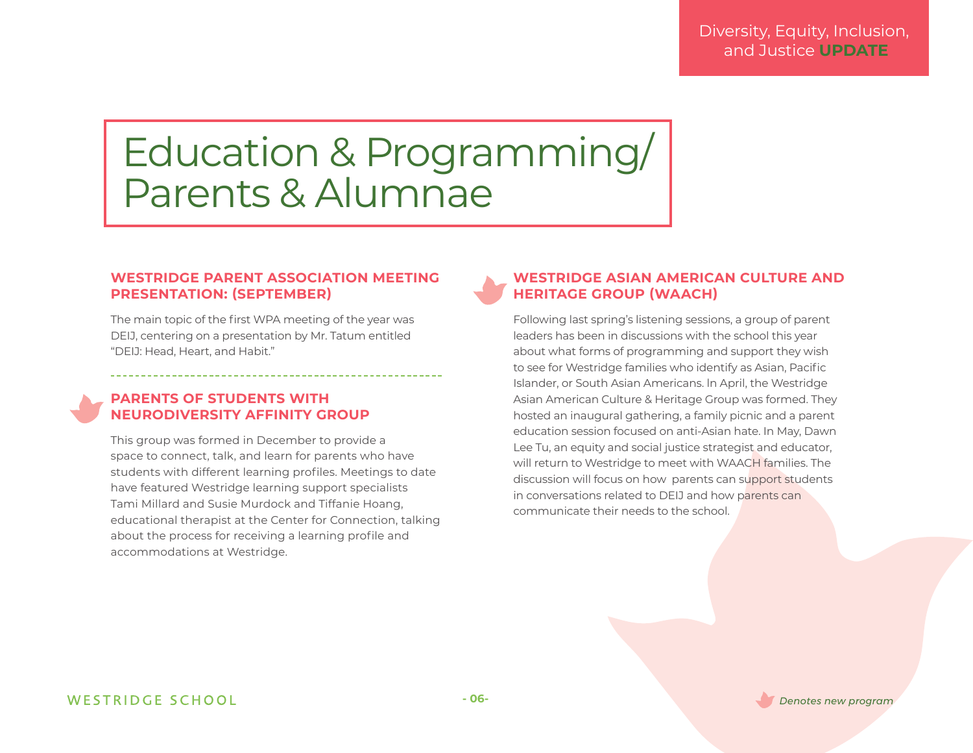### Education & Programming/ Parents & Alumnae

#### **WESTRIDGE PARENT ASSOCIATION MEETING PRESENTATION: (SEPTEMBER)**

The main topic of the first WPA meeting of the year was DEIJ, centering on a presentation by Mr. Tatum entitled "DEIJ: Head, Heart, and Habit."

#### **PARENTS OF STUDENTS WITH NEURODIVERSITY AFFINITY GROUP**

This group was formed in December to provide a space to connect, talk, and learn for parents who have students with different learning profiles. Meetings to date have featured Westridge learning support specialists Tami Millard and Susie Murdock and Tiffanie Hoang, educational therapist at the Center for Connection, talking about the process for receiving a learning profile and accommodations at Westridge.

#### **WESTRIDGE ASIAN AMERICAN CULTURE AND HERITAGE GROUP (WAACH)**

Following last spring's listening sessions, a group of parent leaders has been in discussions with the school this year about what forms of programming and support they wish to see for Westridge families who identify as Asian, Pacific Islander, or South Asian Americans. ln April, the Westridge Asian American Culture & Heritage Group was formed. They hosted an inaugural gathering, a family picnic and a parent education session focused on anti-Asian hate. In May, Dawn Lee Tu, an equity and social justice strategist and educator, will return to Westridge to meet with WAACH families. The discussion will focus on how parents can support students in conversations related to DEIJ and how parents can communicate their needs to the school.

**- 06-** *Denotes new program*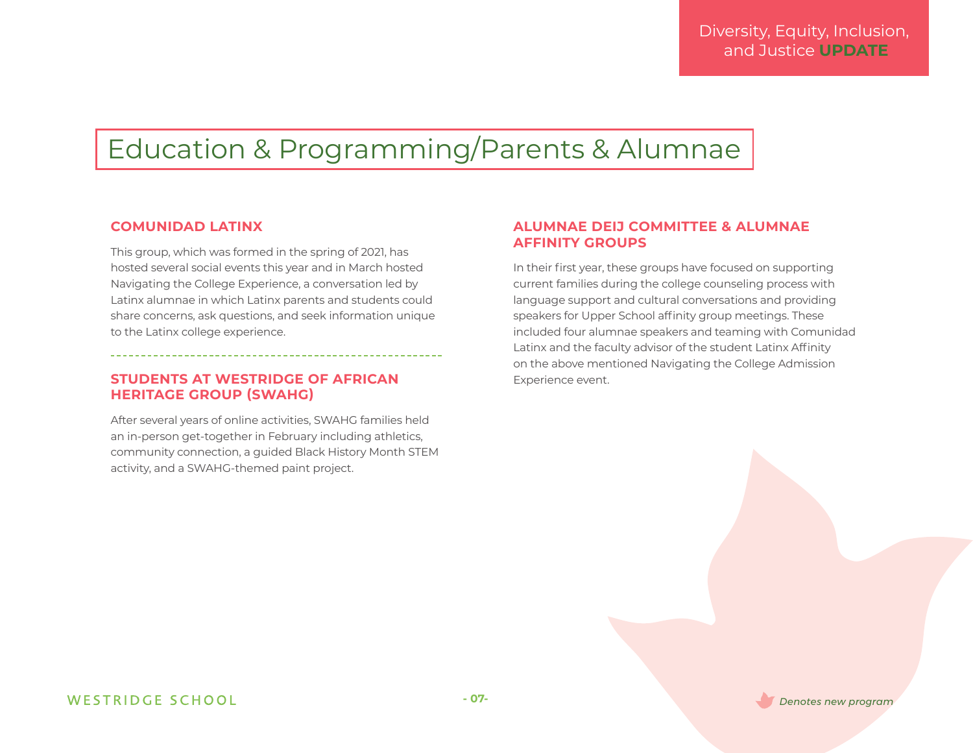### Education & Programming/Parents & Alumnae

#### **COMUNIDAD LATINX**

This group, which was formed in the spring of 2021, has hosted several social events this year and in March hosted Navigating the College Experience, a conversation led by Latinx alumnae in which Latinx parents and students could share concerns, ask questions, and seek information unique to the Latinx college experience.

#### **STUDENTS AT WESTRIDGE OF AFRICAN HERITAGE GROUP (SWAHG)**

After several years of online activities, SWAHG families held an in-person get-together in February including athletics, community connection, a guided Black History Month STEM activity, and a SWAHG-themed paint project.

#### **ALUMNAE DEIJ COMMITTEE & ALUMNAE AFFINITY GROUPS**

In their first year, these groups have focused on supporting current families during the college counseling process with language support and cultural conversations and providing speakers for Upper School affinity group meetings. These included four alumnae speakers and teaming with Comunidad Latinx and the faculty advisor of the student Latinx Affinity on the above mentioned Navigating the College Admission Experience event.

**- 07-** *Denotes new program*